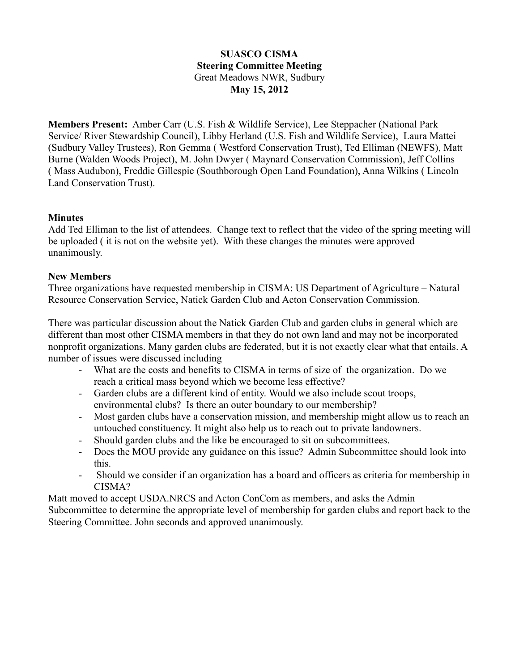# **SUASCO CISMA Steering Committee Meeting** Great Meadows NWR, Sudbury **May 15, 2012**

**Members Present:** Amber Carr (U.S. Fish & Wildlife Service), Lee Steppacher (National Park Service/ River Stewardship Council), Libby Herland (U.S. Fish and Wildlife Service), Laura Mattei (Sudbury Valley Trustees), Ron Gemma ( Westford Conservation Trust), Ted Elliman (NEWFS), Matt Burne (Walden Woods Project), M. John Dwyer ( Maynard Conservation Commission), Jeff Collins ( Mass Audubon), Freddie Gillespie (Southborough Open Land Foundation), Anna Wilkins ( Lincoln Land Conservation Trust).

# **Minutes**

Add Ted Elliman to the list of attendees. Change text to reflect that the video of the spring meeting will be uploaded ( it is not on the website yet). With these changes the minutes were approved unanimously.

#### **New Members**

Three organizations have requested membership in CISMA: US Department of Agriculture – Natural Resource Conservation Service, Natick Garden Club and Acton Conservation Commission.

There was particular discussion about the Natick Garden Club and garden clubs in general which are different than most other CISMA members in that they do not own land and may not be incorporated nonprofit organizations. Many garden clubs are federated, but it is not exactly clear what that entails. A number of issues were discussed including

- What are the costs and benefits to CISMA in terms of size of the organization. Do we reach a critical mass beyond which we become less effective?
- Garden clubs are a different kind of entity. Would we also include scout troops, environmental clubs? Is there an outer boundary to our membership?
- Most garden clubs have a conservation mission, and membership might allow us to reach an untouched constituency. It might also help us to reach out to private landowners.
- Should garden clubs and the like be encouraged to sit on subcommittees.
- Does the MOU provide any guidance on this issue? Admin Subcommittee should look into this.
- Should we consider if an organization has a board and officers as criteria for membership in CISMA?

Matt moved to accept USDA.NRCS and Acton ConCom as members, and asks the Admin Subcommittee to determine the appropriate level of membership for garden clubs and report back to the Steering Committee. John seconds and approved unanimously.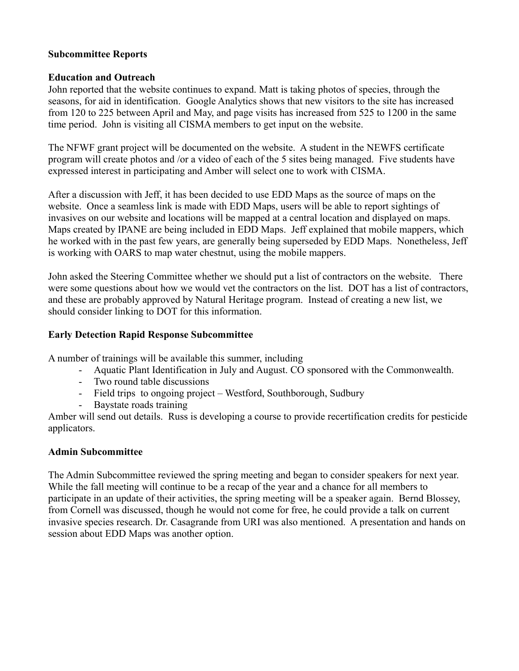### **Subcommittee Reports**

### **Education and Outreach**

John reported that the website continues to expand. Matt is taking photos of species, through the seasons, for aid in identification. Google Analytics shows that new visitors to the site has increased from 120 to 225 between April and May, and page visits has increased from 525 to 1200 in the same time period. John is visiting all CISMA members to get input on the website.

The NFWF grant project will be documented on the website. A student in the NEWFS certificate program will create photos and /or a video of each of the 5 sites being managed. Five students have expressed interest in participating and Amber will select one to work with CISMA.

After a discussion with Jeff, it has been decided to use EDD Maps as the source of maps on the website. Once a seamless link is made with EDD Maps, users will be able to report sightings of invasives on our website and locations will be mapped at a central location and displayed on maps. Maps created by IPANE are being included in EDD Maps. Jeff explained that mobile mappers, which he worked with in the past few years, are generally being superseded by EDD Maps. Nonetheless, Jeff is working with OARS to map water chestnut, using the mobile mappers.

John asked the Steering Committee whether we should put a list of contractors on the website. There were some questions about how we would vet the contractors on the list. DOT has a list of contractors, and these are probably approved by Natural Heritage program. Instead of creating a new list, we should consider linking to DOT for this information.

### **Early Detection Rapid Response Subcommittee**

A number of trainings will be available this summer, including

- Aquatic Plant Identification in July and August. CO sponsored with the Commonwealth.
- Two round table discussions
- Field trips to ongoing project Westford, Southborough, Sudbury
- Baystate roads training

Amber will send out details. Russ is developing a course to provide recertification credits for pesticide applicators.

# **Admin Subcommittee**

The Admin Subcommittee reviewed the spring meeting and began to consider speakers for next year. While the fall meeting will continue to be a recap of the year and a chance for all members to participate in an update of their activities, the spring meeting will be a speaker again. Bernd Blossey, from Cornell was discussed, though he would not come for free, he could provide a talk on current invasive species research. Dr. Casagrande from URI was also mentioned. A presentation and hands on session about EDD Maps was another option.